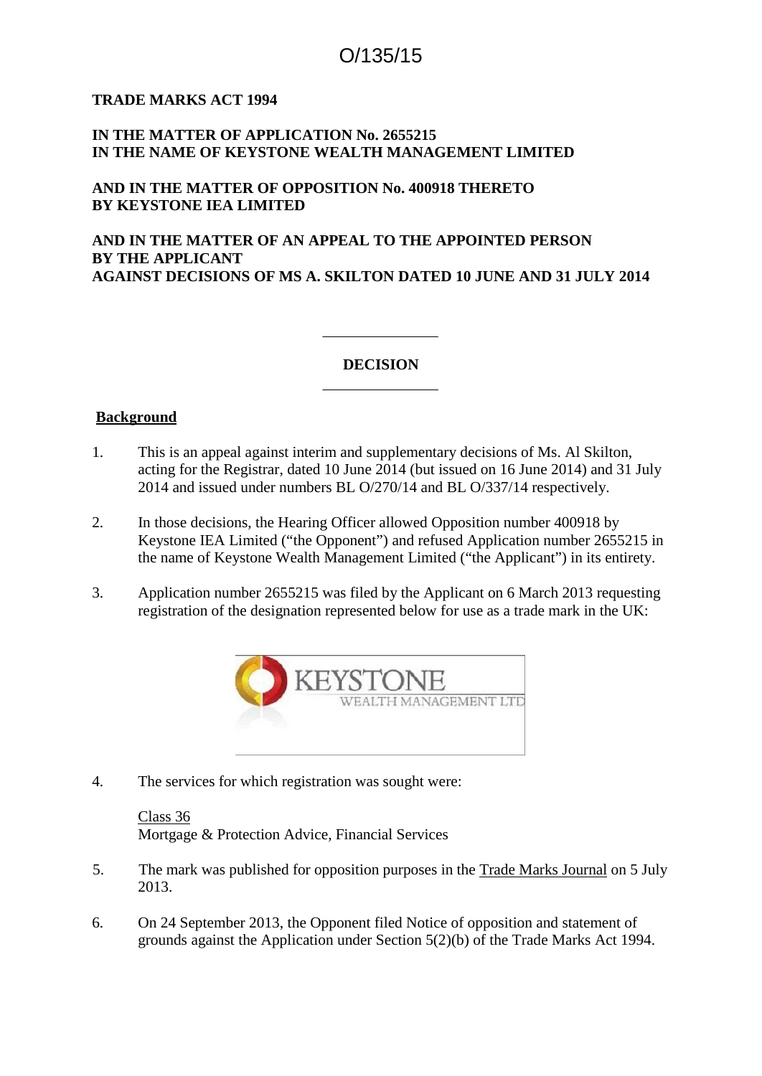# O/135/15

## **TRADE MARKS ACT 1994**

# **IN THE MATTER OF APPLICATION No. 2655215 IN THE NAME OF KEYSTONE WEALTH MANAGEMENT LIMITED**

## **AND IN THE MATTER OF OPPOSITION No. 400918 THERETO BY KEYSTONE IEA LIMITED**

# **AND IN THE MATTER OF AN APPEAL TO THE APPOINTED PERSON BY THE APPLICANT AGAINST DECISIONS OF MS A. SKILTON DATED 10 JUNE AND 31 JULY 2014**

## **DECISION**

#### **Background**

- 1. This is an appeal against interim and supplementary decisions of Ms. Al Skilton, acting for the Registrar, dated 10 June 2014 (but issued on 16 June 2014) and 31 July 2014 and issued under numbers BL O/270/14 and BL O/337/14 respectively.
- 2. In those decisions, the Hearing Officer allowed Opposition number 400918 by Keystone IEA Limited ("the Opponent") and refused Application number 2655215 in the name of Keystone Wealth Management Limited ("the Applicant") in its entirety.
- 3. Application number 2655215 was filed by the Applicant on 6 March 2013 requesting registration of the designation represented below for use as a trade mark in the UK:



4. The services for which registration was sought were:

Class 36 Mortgage & Protection Advice, Financial Services

- 5. The mark was published for opposition purposes in the Trade Marks Journal on 5 July 2013.
- 6. On 24 September 2013, the Opponent filed Notice of opposition and statement of grounds against the Application under Section 5(2)(b) of the Trade Marks Act 1994.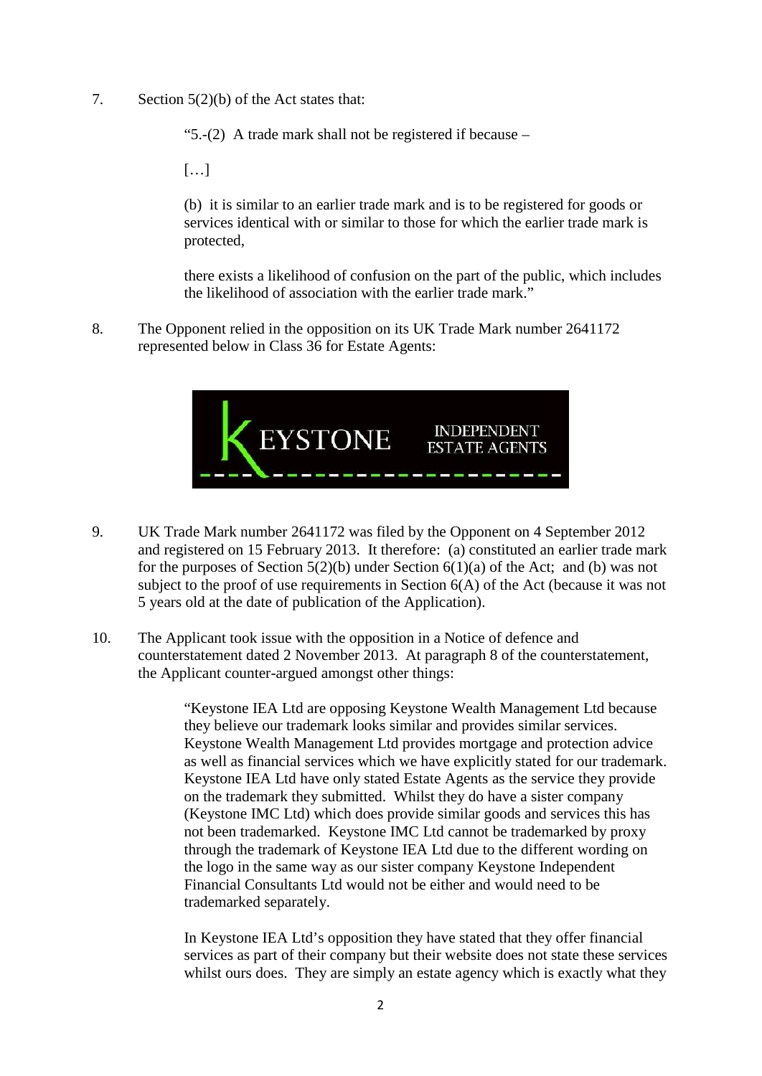7. Section 5(2)(b) of the Act states that:

"5.-(2) A trade mark shall not be registered if because –

[…]

(b) it is similar to an earlier trade mark and is to be registered for goods or services identical with or similar to those for which the earlier trade mark is protected,

there exists a likelihood of confusion on the part of the public, which includes the likelihood of association with the earlier trade mark."

8. The Opponent relied in the opposition on its UK Trade Mark number 2641172 represented below in Class 36 for Estate Agents:



- 9. UK Trade Mark number 2641172 was filed by the Opponent on 4 September 2012 and registered on 15 February 2013. It therefore: (a) constituted an earlier trade mark for the purposes of Section  $5(2)(b)$  under Section  $6(1)(a)$  of the Act; and (b) was not subject to the proof of use requirements in Section 6(A) of the Act (because it was not 5 years old at the date of publication of the Application).
- 10. The Applicant took issue with the opposition in a Notice of defence and counterstatement dated 2 November 2013. At paragraph 8 of the counterstatement, the Applicant counter-argued amongst other things:

"Keystone IEA Ltd are opposing Keystone Wealth Management Ltd because they believe our trademark looks similar and provides similar services. Keystone Wealth Management Ltd provides mortgage and protection advice as well as financial services which we have explicitly stated for our trademark. Keystone IEA Ltd have only stated Estate Agents as the service they provide on the trademark they submitted. Whilst they do have a sister company (Keystone IMC Ltd) which does provide similar goods and services this has not been trademarked. Keystone IMC Ltd cannot be trademarked by proxy through the trademark of Keystone IEA Ltd due to the different wording on the logo in the same way as our sister company Keystone Independent Financial Consultants Ltd would not be either and would need to be trademarked separately.

In Keystone IEA Ltd's opposition they have stated that they offer financial services as part of their company but their website does not state these services whilst ours does. They are simply an estate agency which is exactly what they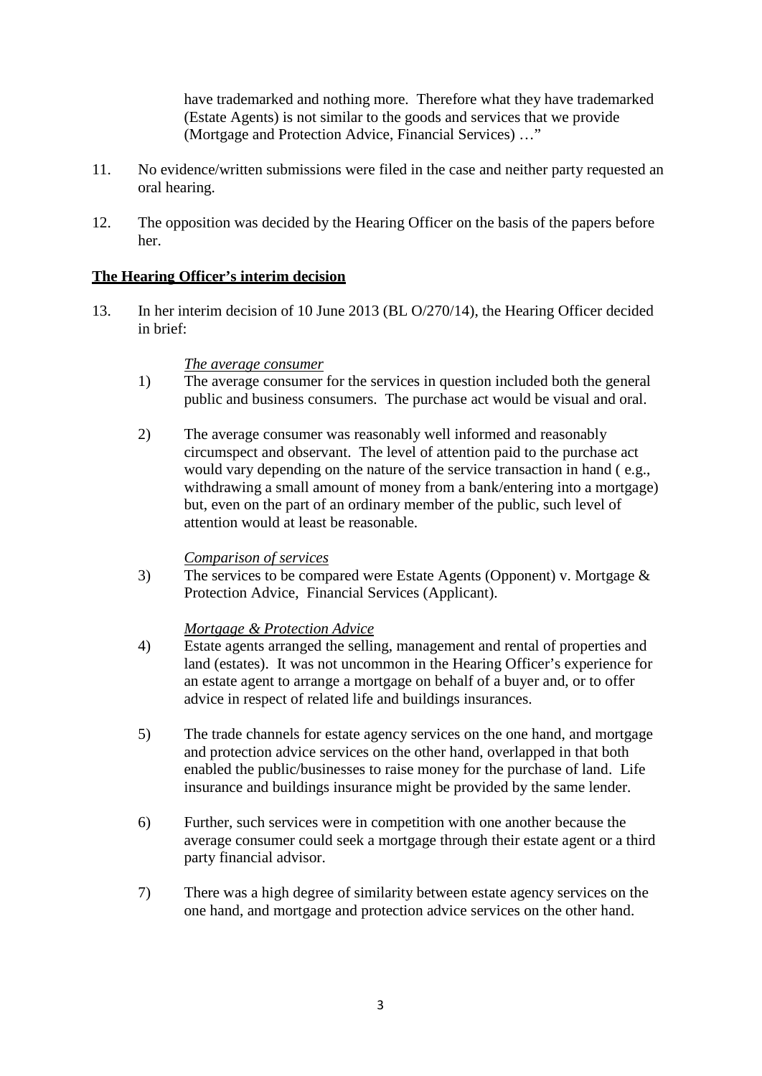have trademarked and nothing more. Therefore what they have trademarked (Estate Agents) is not similar to the goods and services that we provide (Mortgage and Protection Advice, Financial Services) …"

- 11. No evidence/written submissions were filed in the case and neither party requested an oral hearing.
- 12. The opposition was decided by the Hearing Officer on the basis of the papers before her.

## **The Hearing Officer's interim decision**

13. In her interim decision of 10 June 2013 (BL O/270/14), the Hearing Officer decided in brief:

#### *The average consumer*

- 1) The average consumer for the services in question included both the general public and business consumers. The purchase act would be visual and oral.
- 2) The average consumer was reasonably well informed and reasonably circumspect and observant. The level of attention paid to the purchase act would vary depending on the nature of the service transaction in hand ( e.g., withdrawing a small amount of money from a bank/entering into a mortgage) but, even on the part of an ordinary member of the public, such level of attention would at least be reasonable.

#### *Comparison of services*

3) The services to be compared were Estate Agents (Opponent) v. Mortgage & Protection Advice, Financial Services (Applicant).

#### *Mortgage & Protection Advice*

- 4) Estate agents arranged the selling, management and rental of properties and land (estates). It was not uncommon in the Hearing Officer's experience for an estate agent to arrange a mortgage on behalf of a buyer and, or to offer advice in respect of related life and buildings insurances.
- 5) The trade channels for estate agency services on the one hand, and mortgage and protection advice services on the other hand, overlapped in that both enabled the public/businesses to raise money for the purchase of land. Life insurance and buildings insurance might be provided by the same lender.
- 6) Further, such services were in competition with one another because the average consumer could seek a mortgage through their estate agent or a third party financial advisor.
- 7) There was a high degree of similarity between estate agency services on the one hand, and mortgage and protection advice services on the other hand.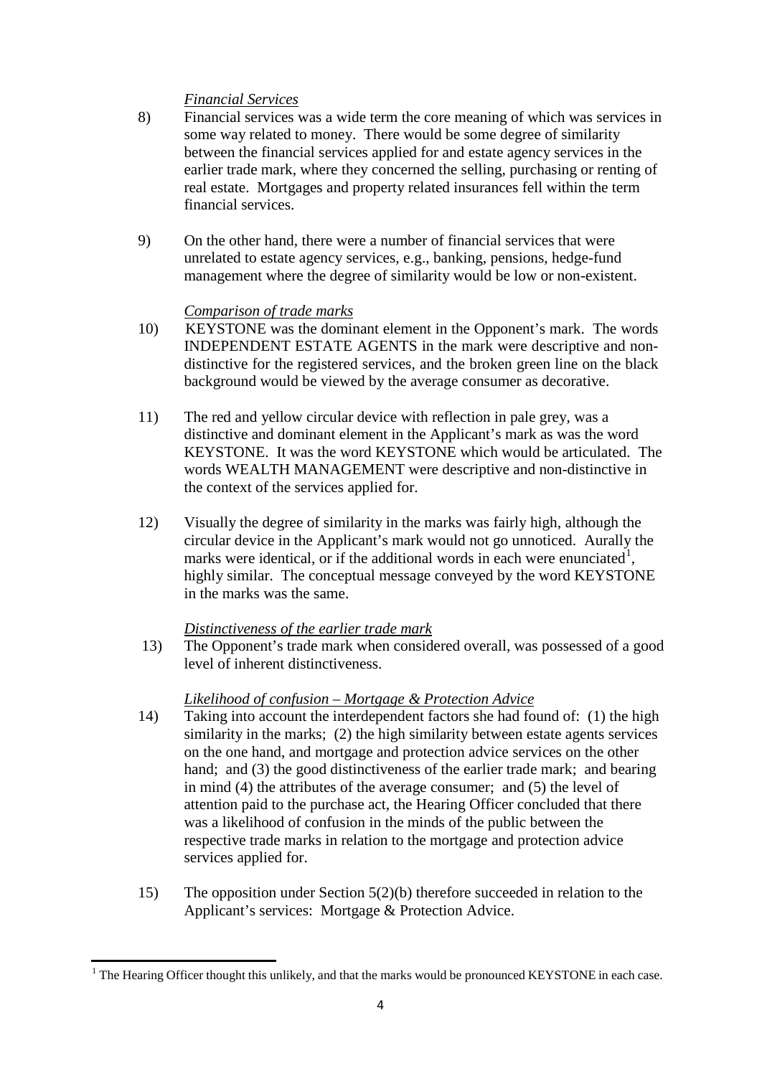# *Financial Services*

- 8) Financial services was a wide term the core meaning of which was services in some way related to money. There would be some degree of similarity between the financial services applied for and estate agency services in the earlier trade mark, where they concerned the selling, purchasing or renting of real estate. Mortgages and property related insurances fell within the term financial services.
- 9) On the other hand, there were a number of financial services that were unrelated to estate agency services, e.g., banking, pensions, hedge-fund management where the degree of similarity would be low or non-existent.

## *Comparison of trade marks*

- 10) KEYSTONE was the dominant element in the Opponent's mark. The words INDEPENDENT ESTATE AGENTS in the mark were descriptive and nondistinctive for the registered services, and the broken green line on the black background would be viewed by the average consumer as decorative.
- 11) The red and yellow circular device with reflection in pale grey, was a distinctive and dominant element in the Applicant's mark as was the word KEYSTONE. It was the word KEYSTONE which would be articulated. The words WEALTH MANAGEMENT were descriptive and non-distinctive in the context of the services applied for.
- 12) Visually the degree of similarity in the marks was fairly high, although the circular device in the Applicant's mark would not go unnoticed. Aurally the marks were identical, or if the additional words in each were enunciated<sup>1</sup>, highly similar. The conceptual message conveyed by the word KEYSTONE in the marks was the same.

#### *Distinctiveness of the earlier trade mark*

13) The Opponent's trade mark when considered overall, was possessed of a good level of inherent distinctiveness.

# *Likelihood of confusion – Mortgage & Protection Advice*

- 14) Taking into account the interdependent factors she had found of: (1) the high similarity in the marks; (2) the high similarity between estate agents services on the one hand, and mortgage and protection advice services on the other hand; and (3) the good distinctiveness of the earlier trade mark; and bearing in mind (4) the attributes of the average consumer; and (5) the level of attention paid to the purchase act, the Hearing Officer concluded that there was a likelihood of confusion in the minds of the public between the respective trade marks in relation to the mortgage and protection advice services applied for.
- 15) The opposition under Section 5(2)(b) therefore succeeded in relation to the Applicant's services: Mortgage & Protection Advice.

 $1$  The Hearing Officer thought this unlikely, and that the marks would be pronounced KEYSTONE in each case.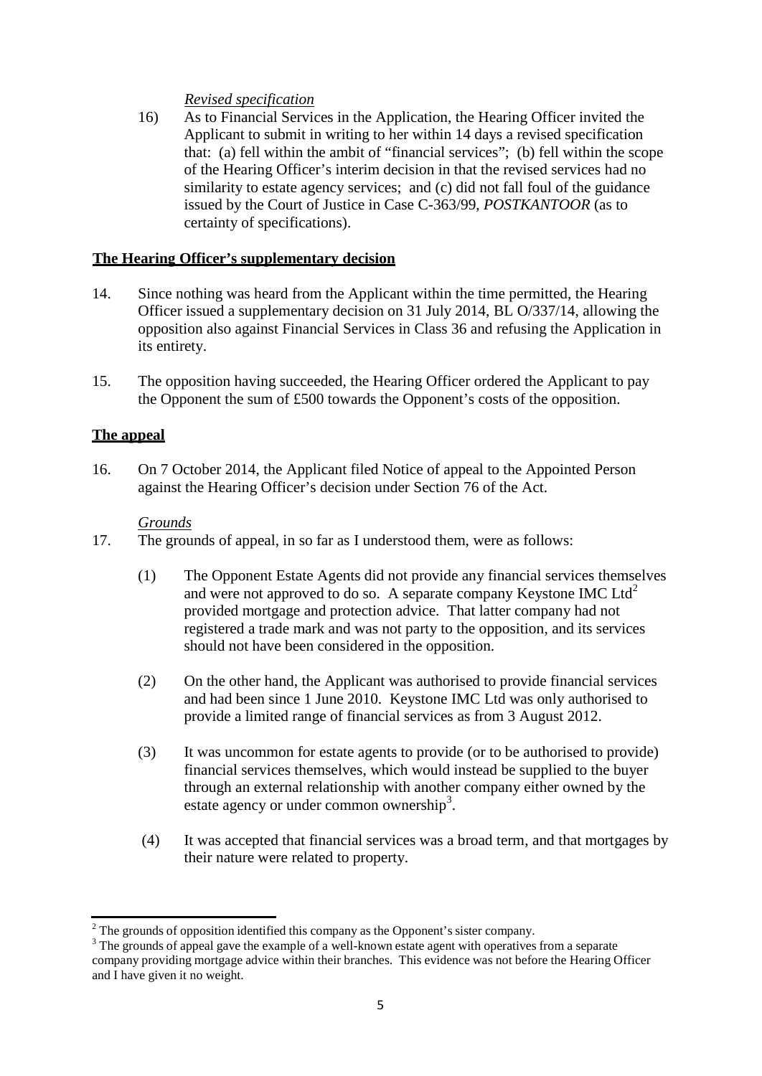# *Revised specification*

16) As to Financial Services in the Application, the Hearing Officer invited the Applicant to submit in writing to her within 14 days a revised specification that: (a) fell within the ambit of "financial services"; (b) fell within the scope of the Hearing Officer's interim decision in that the revised services had no similarity to estate agency services; and (c) did not fall foul of the guidance issued by the Court of Justice in Case C-363/99, *POSTKANTOOR* (as to certainty of specifications).

## **The Hearing Officer's supplementary decision**

- 14. Since nothing was heard from the Applicant within the time permitted, the Hearing Officer issued a supplementary decision on 31 July 2014, BL O/337/14, allowing the opposition also against Financial Services in Class 36 and refusing the Application in its entirety.
- 15. The opposition having succeeded, the Hearing Officer ordered the Applicant to pay the Opponent the sum of £500 towards the Opponent's costs of the opposition.

## **The appeal**

16. On 7 October 2014, the Applicant filed Notice of appeal to the Appointed Person against the Hearing Officer's decision under Section 76 of the Act.

#### *Grounds*

- 17. The grounds of appeal, in so far as I understood them, were as follows:
	- (1) The Opponent Estate Agents did not provide any financial services themselves and were not approved to do so. A separate company Keystone IMC  $\text{Ltd}^2$ provided mortgage and protection advice. That latter company had not registered a trade mark and was not party to the opposition, and its services should not have been considered in the opposition.
	- (2) On the other hand, the Applicant was authorised to provide financial services and had been since 1 June 2010. Keystone IMC Ltd was only authorised to provide a limited range of financial services as from 3 August 2012.
	- (3) It was uncommon for estate agents to provide (or to be authorised to provide) financial services themselves, which would instead be supplied to the buyer through an external relationship with another company either owned by the estate agency or under common ownership<sup>3</sup>.
	- (4) It was accepted that financial services was a broad term, and that mortgages by their nature were related to property.

<sup>&</sup>lt;sup>2</sup> The grounds of opposition identified this company as the Opponent's sister company.<br><sup>3</sup> The grounds of appeal gave the example of a well-known estate agent with operatives from a separate company providing mortgage advice within their branches. This evidence was not before the Hearing Officer and I have given it no weight.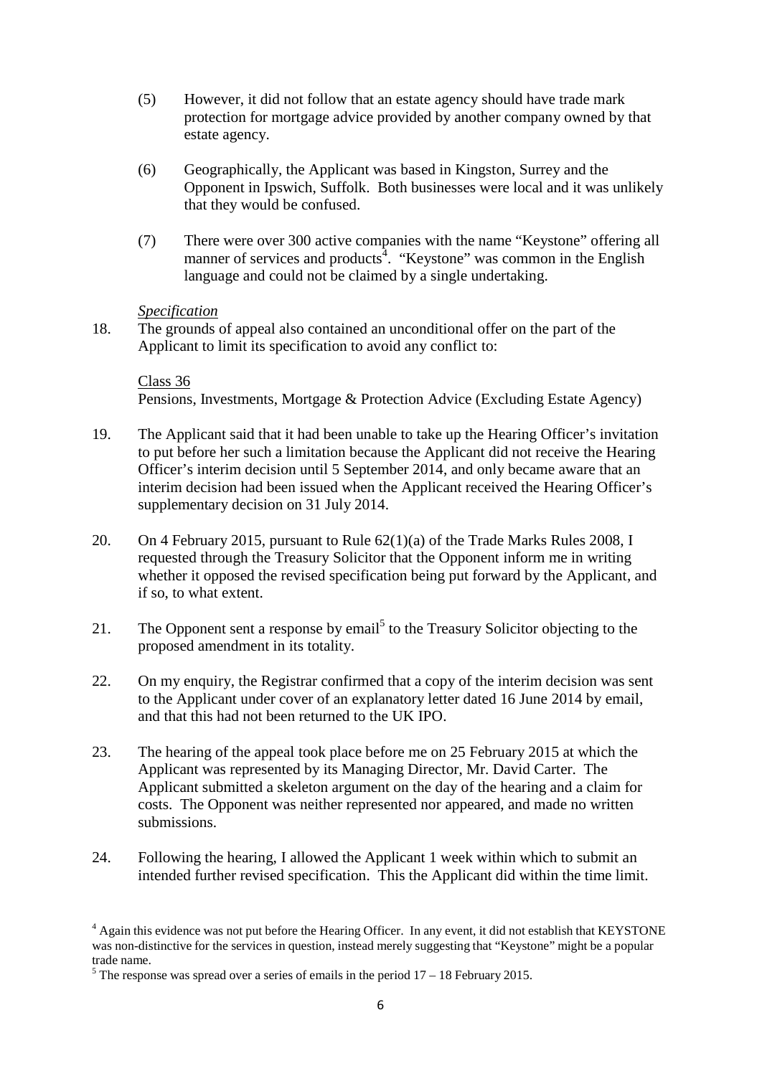- (5) However, it did not follow that an estate agency should have trade mark protection for mortgage advice provided by another company owned by that estate agency.
- (6) Geographically, the Applicant was based in Kingston, Surrey and the Opponent in Ipswich, Suffolk. Both businesses were local and it was unlikely that they would be confused.
- (7) There were over 300 active companies with the name "Keystone" offering all manner of services and products<sup>4</sup>. "Keystone" was common in the English language and could not be claimed by a single undertaking.

#### *Specification*

18. The grounds of appeal also contained an unconditional offer on the part of the Applicant to limit its specification to avoid any conflict to:

Class 36 Pensions, Investments, Mortgage & Protection Advice (Excluding Estate Agency)

- 19. The Applicant said that it had been unable to take up the Hearing Officer's invitation to put before her such a limitation because the Applicant did not receive the Hearing Officer's interim decision until 5 September 2014, and only became aware that an interim decision had been issued when the Applicant received the Hearing Officer's supplementary decision on 31 July 2014.
- 20. On 4 February 2015, pursuant to Rule 62(1)(a) of the Trade Marks Rules 2008, I requested through the Treasury Solicitor that the Opponent inform me in writing whether it opposed the revised specification being put forward by the Applicant, and if so, to what extent.
- 21. The Opponent sent a response by email<sup>5</sup> to the Treasury Solicitor objecting to the proposed amendment in its totality.
- 22. On my enquiry, the Registrar confirmed that a copy of the interim decision was sent to the Applicant under cover of an explanatory letter dated 16 June 2014 by email, and that this had not been returned to the UK IPO.
- 23. The hearing of the appeal took place before me on 25 February 2015 at which the Applicant was represented by its Managing Director, Mr. David Carter. The Applicant submitted a skeleton argument on the day of the hearing and a claim for costs. The Opponent was neither represented nor appeared, and made no written submissions.
- 24. Following the hearing, I allowed the Applicant 1 week within which to submit an intended further revised specification. This the Applicant did within the time limit.

<sup>&</sup>lt;sup>4</sup> Again this evidence was not put before the Hearing Officer. In any event, it did not establish that KEYSTONE was non-distinctive for the services in question, instead merely suggesting that "Keystone" might be a popular trade name.<br><sup>5</sup> The response was spread over a series of emails in the period  $17 - 18$  February 2015.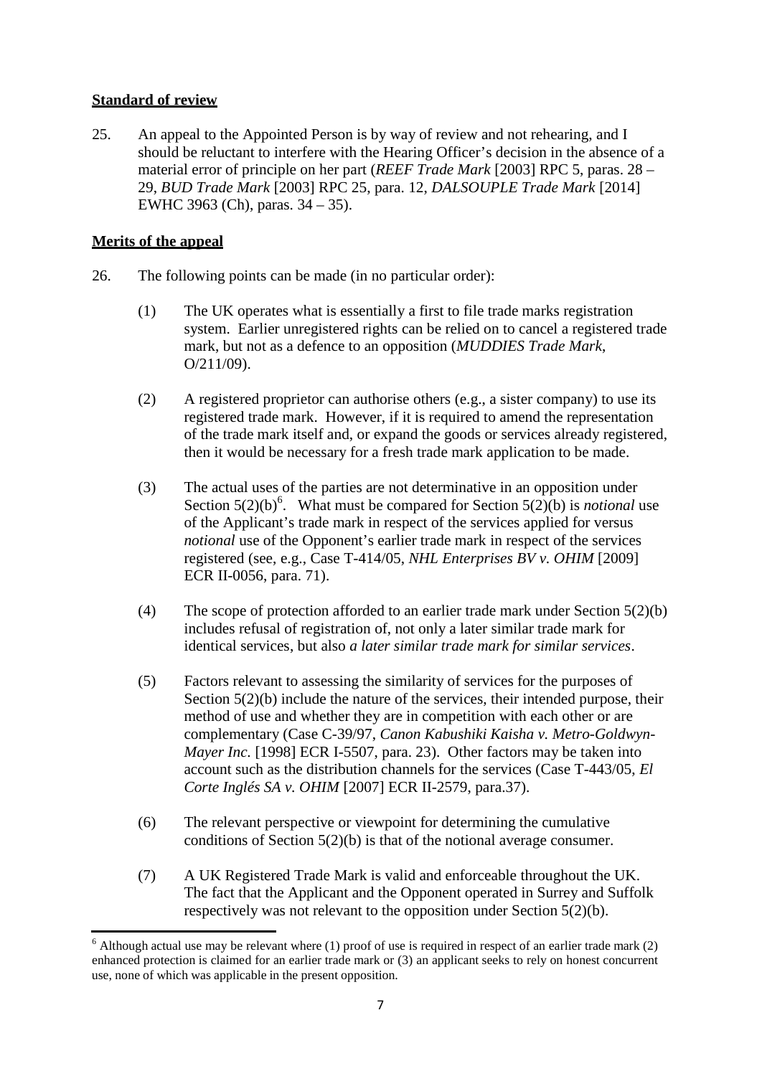# **Standard of review**

25. An appeal to the Appointed Person is by way of review and not rehearing, and I should be reluctant to interfere with the Hearing Officer's decision in the absence of a material error of principle on her part (*REEF Trade Mark* [2003] RPC 5, paras. 28 – 29, *BUD Trade Mark* [2003] RPC 25, para. 12, *DALSOUPLE Trade Mark* [2014] EWHC 3963 (Ch), paras. 34 – 35).

# **Merits of the appeal**

- 26. The following points can be made (in no particular order):
	- (1) The UK operates what is essentially a first to file trade marks registration system. Earlier unregistered rights can be relied on to cancel a registered trade mark, but not as a defence to an opposition (*MUDDIES Trade Mark*, O/211/09).
	- (2) A registered proprietor can authorise others (e.g., a sister company) to use its registered trade mark. However, if it is required to amend the representation of the trade mark itself and, or expand the goods or services already registered, then it would be necessary for a fresh trade mark application to be made.
	- (3) The actual uses of the parties are not determinative in an opposition under Section  $5(2)(b)$ <sup>6</sup>. What must be compared for Section  $5(2)(b)$  is *notional* use of the Applicant's trade mark in respect of the services applied for versus *notional* use of the Opponent's earlier trade mark in respect of the services registered (see, e.g., Case T-414/05, *NHL Enterprises BV v. OHIM* [2009] ECR II-0056, para. 71).
	- (4) The scope of protection afforded to an earlier trade mark under Section 5(2)(b) includes refusal of registration of, not only a later similar trade mark for identical services, but also *a later similar trade mark for similar services*.
	- (5) Factors relevant to assessing the similarity of services for the purposes of Section  $5(2)(b)$  include the nature of the services, their intended purpose, their method of use and whether they are in competition with each other or are complementary (Case C-39/97, *Canon Kabushiki Kaisha v. Metro-Goldwyn-Mayer Inc.* [1998] ECR I-5507, para. 23). Other factors may be taken into account such as the distribution channels for the services (Case T-443/05, *El Corte Inglés SA v. OHIM* [2007] ECR II-2579, para.37).
	- (6) The relevant perspective or viewpoint for determining the cumulative conditions of Section 5(2)(b) is that of the notional average consumer.
	- (7) A UK Registered Trade Mark is valid and enforceable throughout the UK. The fact that the Applicant and the Opponent operated in Surrey and Suffolk respectively was not relevant to the opposition under Section 5(2)(b).

 $6$  Although actual use may be relevant where (1) proof of use is required in respect of an earlier trade mark (2) enhanced protection is claimed for an earlier trade mark or (3) an applicant seeks to rely on honest concurrent use, none of which was applicable in the present opposition.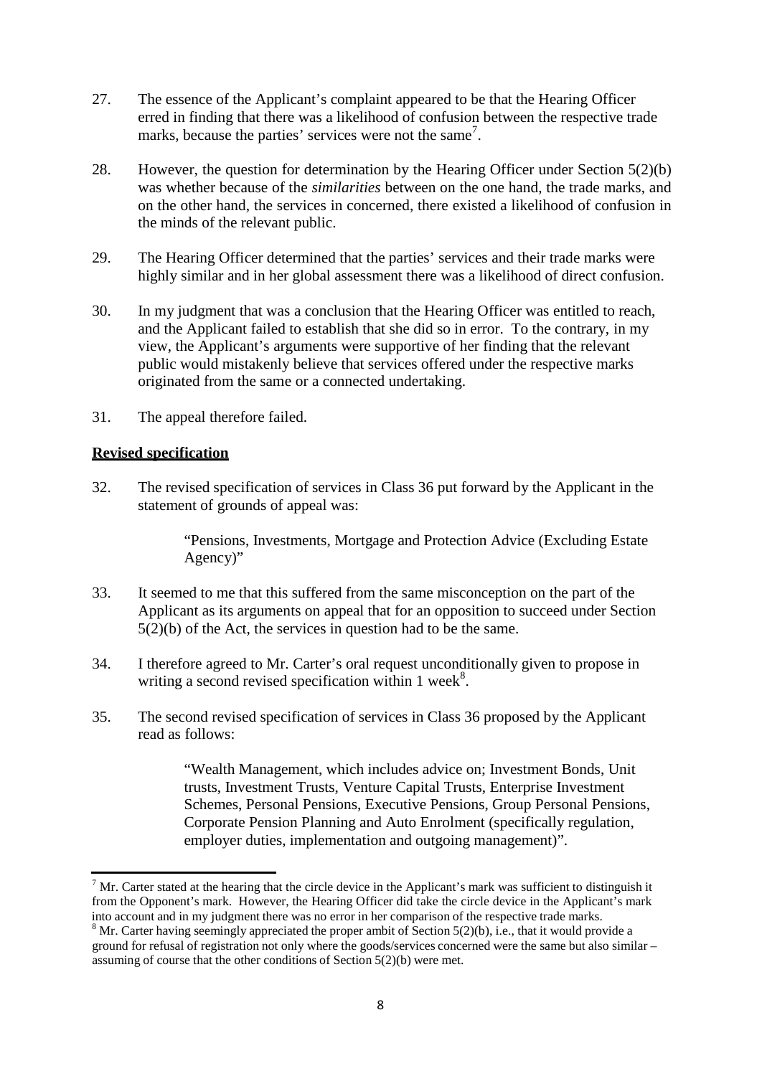- 27. The essence of the Applicant's complaint appeared to be that the Hearing Officer erred in finding that there was a likelihood of confusion between the respective trade marks, because the parties' services were not the same<sup>7</sup>.
- 28. However, the question for determination by the Hearing Officer under Section 5(2)(b) was whether because of the *similarities* between on the one hand, the trade marks, and on the other hand, the services in concerned, there existed a likelihood of confusion in the minds of the relevant public.
- 29. The Hearing Officer determined that the parties' services and their trade marks were highly similar and in her global assessment there was a likelihood of direct confusion.
- 30. In my judgment that was a conclusion that the Hearing Officer was entitled to reach, and the Applicant failed to establish that she did so in error. To the contrary, in my view, the Applicant's arguments were supportive of her finding that the relevant public would mistakenly believe that services offered under the respective marks originated from the same or a connected undertaking.
- 31. The appeal therefore failed.

# **Revised specification**

32. The revised specification of services in Class 36 put forward by the Applicant in the statement of grounds of appeal was:

> "Pensions, Investments, Mortgage and Protection Advice (Excluding Estate Agency)"

- 33. It seemed to me that this suffered from the same misconception on the part of the Applicant as its arguments on appeal that for an opposition to succeed under Section 5(2)(b) of the Act, the services in question had to be the same.
- 34. I therefore agreed to Mr. Carter's oral request unconditionally given to propose in writing a second revised specification within 1 week<sup>8</sup>.
- 35. The second revised specification of services in Class 36 proposed by the Applicant read as follows:

"Wealth Management, which includes advice on; Investment Bonds, Unit trusts, Investment Trusts, Venture Capital Trusts, Enterprise Investment Schemes, Personal Pensions, Executive Pensions, Group Personal Pensions, Corporate Pension Planning and Auto Enrolment (specifically regulation, employer duties, implementation and outgoing management)".

 $<sup>7</sup>$  Mr. Carter stated at the hearing that the circle device in the Applicant's mark was sufficient to distinguish it</sup> from the Opponent's mark. However, the Hearing Officer did take the circle device in the Applicant's mark into account and in my judgment there was no error in her comparison of the respective trade marks.

<sup>&</sup>lt;sup>8</sup> Mr. Carter having seemingly appreciated the proper ambit of Section 5(2)(b), i.e., that it would provide a ground for refusal of registration not only where the goods/services concerned were the same but also similar – assuming of course that the other conditions of Section  $5(2)(b)$  were met.